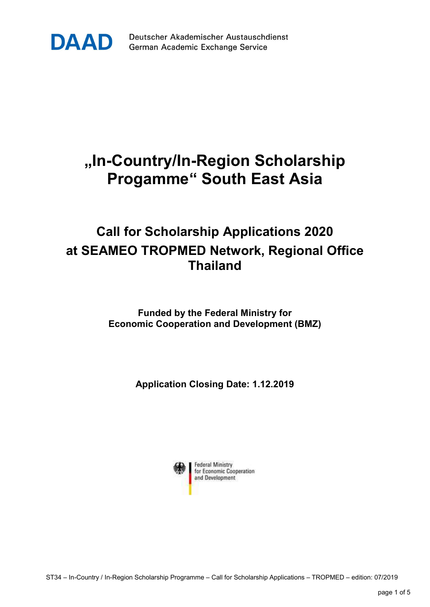

Deutscher Akademischer Austauschdienst German Academic Exchange Service

## "In-Country/In-Region Scholarship Progamme" South East Asia

## Call for Scholarship Applications 2020 at SEAMEO TROPMED Network, Regional Office Thailand

Funded by the Federal Ministry for Economic Cooperation and Development (BMZ)

Application Closing Date: 1.12.2019

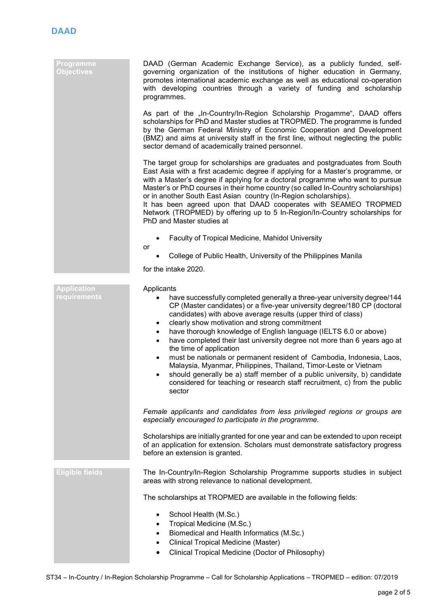| <b>Programme</b><br>Objectives     | DAAD (German Academic Exchange Service), as a publicly funded, self-<br>governing organization of the institutions of higher education in Germany,<br>promotes international academic exchange as well as educational co-operation<br>with developing countries through a variety of funding and scholarship<br>programmes.                                                                                                                                                                                                                                                                                                                                                                                                                                                                                                              |
|------------------------------------|------------------------------------------------------------------------------------------------------------------------------------------------------------------------------------------------------------------------------------------------------------------------------------------------------------------------------------------------------------------------------------------------------------------------------------------------------------------------------------------------------------------------------------------------------------------------------------------------------------------------------------------------------------------------------------------------------------------------------------------------------------------------------------------------------------------------------------------|
|                                    | As part of the "In-Country/In-Region Scholarship Progamme", DAAD offers<br>scholarships for PhD and Master studies at TROPMED. The programme is funded<br>by the German Federal Ministry of Economic Cooperation and Development<br>(BMZ) and aims at university staff in the first line, without neglecting the public<br>sector demand of academically trained personnel.                                                                                                                                                                                                                                                                                                                                                                                                                                                              |
|                                    | The target group for scholarships are graduates and postgraduates from South<br>East Asia with a first academic degree if applying for a Master's programme, or<br>with a Master's degree if applying for a doctoral programme who want to pursue<br>Master's or PhD courses in their home country (so called In-Country scholarships)<br>or in another South East Asian country (In-Region scholarships).<br>It has been agreed upon that DAAD cooperates with SEAMEO TROPMED<br>Network (TROPMED) by offering up to 5 In-Region/In-Country scholarships for<br>PhD and Master studies at                                                                                                                                                                                                                                               |
|                                    | Faculty of Tropical Medicine, Mahidol University<br>$\bullet$                                                                                                                                                                                                                                                                                                                                                                                                                                                                                                                                                                                                                                                                                                                                                                            |
|                                    | or<br>College of Public Health, University of the Philippines Manila                                                                                                                                                                                                                                                                                                                                                                                                                                                                                                                                                                                                                                                                                                                                                                     |
|                                    | for the intake 2020.                                                                                                                                                                                                                                                                                                                                                                                                                                                                                                                                                                                                                                                                                                                                                                                                                     |
| <b>Application</b><br>requirements | Applicants<br>have successfully completed generally a three-year university degree/144<br>٠<br>CP (Master candidates) or a five-year university degree/180 CP (doctoral<br>candidates) with above average results (upper third of class)<br>clearly show motivation and strong commitment<br>$\bullet$<br>have thorough knowledge of English language (IELTS 6.0 or above)<br>$\bullet$<br>have completed their last university degree not more than 6 years ago at<br>$\bullet$<br>the time of application<br>must be nationals or permanent resident of Cambodia, Indonesia, Laos,<br>$\bullet$<br>Malaysia, Myanmar, Philippines, Thailand, Timor-Leste or Vietnam<br>should generally be a) staff member of a public university, b) candidate<br>considered for teaching or research staff recruitment, c) from the public<br>sector |
|                                    | Female applicants and candidates from less privileged regions or groups are<br>especially encouraged to participate in the programme.                                                                                                                                                                                                                                                                                                                                                                                                                                                                                                                                                                                                                                                                                                    |
|                                    | Scholarships are initially granted for one year and can be extended to upon receipt<br>of an application for extension. Scholars must demonstrate satisfactory progress<br>before an extension is granted.                                                                                                                                                                                                                                                                                                                                                                                                                                                                                                                                                                                                                               |
| <b>Eligible fields</b>             | The In-Country/In-Region Scholarship Programme supports studies in subject<br>areas with strong relevance to national development.                                                                                                                                                                                                                                                                                                                                                                                                                                                                                                                                                                                                                                                                                                       |
|                                    | The scholarships at TROPMED are available in the following fields:                                                                                                                                                                                                                                                                                                                                                                                                                                                                                                                                                                                                                                                                                                                                                                       |
|                                    | School Health (M.Sc.)<br>$\bullet$<br>Tropical Medicine (M.Sc.)<br>$\bullet$<br>Biomedical and Health Informatics (M.Sc.)<br>$\bullet$<br><b>Clinical Tropical Medicine (Master)</b><br>$\bullet$<br>Clinical Tropical Medicine (Doctor of Philosophy)                                                                                                                                                                                                                                                                                                                                                                                                                                                                                                                                                                                   |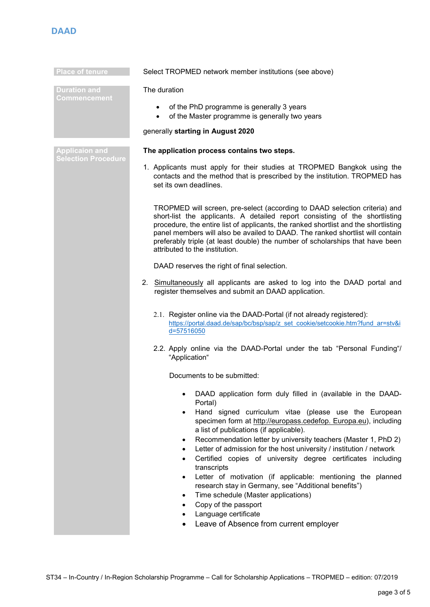

| <b>Place of tenure</b>                              | Select TROPMED network member institutions (see above)                                                                                                                                                                                                                                                                                                                                                                                                                                                                                                                                                                                                                                                                                           |
|-----------------------------------------------------|--------------------------------------------------------------------------------------------------------------------------------------------------------------------------------------------------------------------------------------------------------------------------------------------------------------------------------------------------------------------------------------------------------------------------------------------------------------------------------------------------------------------------------------------------------------------------------------------------------------------------------------------------------------------------------------------------------------------------------------------------|
| <b>Duration and</b><br>Commencement                 | The duration                                                                                                                                                                                                                                                                                                                                                                                                                                                                                                                                                                                                                                                                                                                                     |
|                                                     | of the PhD programme is generally 3 years<br>$\bullet$<br>of the Master programme is generally two years<br>$\bullet$                                                                                                                                                                                                                                                                                                                                                                                                                                                                                                                                                                                                                            |
|                                                     | generally starting in August 2020                                                                                                                                                                                                                                                                                                                                                                                                                                                                                                                                                                                                                                                                                                                |
| <b>Applicaion and</b><br><b>Selection Procedure</b> | The application process contains two steps.                                                                                                                                                                                                                                                                                                                                                                                                                                                                                                                                                                                                                                                                                                      |
|                                                     | 1. Applicants must apply for their studies at TROPMED Bangkok using the<br>contacts and the method that is prescribed by the institution. TROPMED has<br>set its own deadlines.                                                                                                                                                                                                                                                                                                                                                                                                                                                                                                                                                                  |
|                                                     | TROPMED will screen, pre-select (according to DAAD selection criteria) and<br>short-list the applicants. A detailed report consisting of the shortlisting<br>procedure, the entire list of applicants, the ranked shortlist and the shortlisting<br>panel members will also be availed to DAAD. The ranked shortlist will contain<br>preferably triple (at least double) the number of scholarships that have been<br>attributed to the institution.                                                                                                                                                                                                                                                                                             |
|                                                     | DAAD reserves the right of final selection.                                                                                                                                                                                                                                                                                                                                                                                                                                                                                                                                                                                                                                                                                                      |
|                                                     | 2. Simultaneously all applicants are asked to log into the DAAD portal and<br>register themselves and submit an DAAD application.                                                                                                                                                                                                                                                                                                                                                                                                                                                                                                                                                                                                                |
|                                                     | 2.1. Register online via the DAAD-Portal (if not already registered):<br>https://portal.daad.de/sap/bc/bsp/sap/z set cookie/setcookie.htm?fund ar=stv&i<br>d=57516050                                                                                                                                                                                                                                                                                                                                                                                                                                                                                                                                                                            |
|                                                     | 2.2. Apply online via the DAAD-Portal under the tab "Personal Funding"/<br>"Application"                                                                                                                                                                                                                                                                                                                                                                                                                                                                                                                                                                                                                                                         |
|                                                     | Documents to be submitted:                                                                                                                                                                                                                                                                                                                                                                                                                                                                                                                                                                                                                                                                                                                       |
|                                                     | DAAD application form duly filled in (available in the DAAD-<br>Portal)<br>Hand signed curriculum vitae (please use the European<br>specimen form at http://europass.cedefop. Europa.eu), including<br>a list of publications (if applicable).<br>Recommendation letter by university teachers (Master 1, PhD 2)<br>٠<br>Letter of admission for the host university / institution / network<br>$\bullet$<br>Certified copies of university degree certificates including<br>transcripts<br>Letter of motivation (if applicable: mentioning the planned<br>research stay in Germany, see "Additional benefits")<br>Time schedule (Master applications)<br>Copy of the passport<br>Language certificate<br>Leave of Absence from current employer |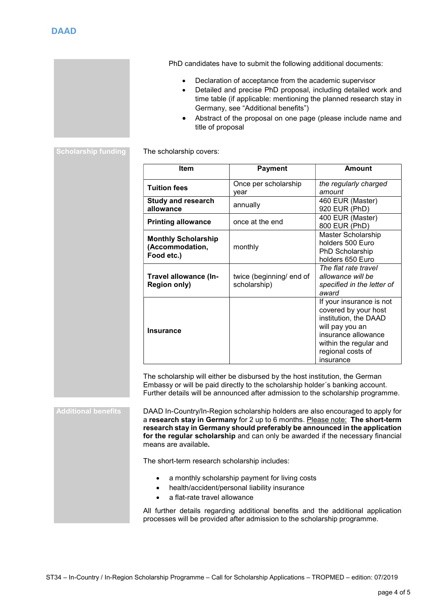PhD candidates have to submit the following additional documents:

- Declaration of acceptance from the academic supervisor
- Detailed and precise PhD proposal, including detailed work and time table (if applicable: mentioning the planned research stay in Germany, see "Additional benefits")
- Abstract of the proposal on one page (please include name and title of proposal

Scholarship funding The scholarship covers:

| Item                                                        | <b>Payment</b>                           | Amount                                                                                                                                                                          |
|-------------------------------------------------------------|------------------------------------------|---------------------------------------------------------------------------------------------------------------------------------------------------------------------------------|
| <b>Tuition fees</b>                                         | Once per scholarship<br>vear             | the regularly charged<br>amount                                                                                                                                                 |
| <b>Study and research</b><br>allowance                      | annually                                 | 460 EUR (Master)<br>920 EUR (PhD)                                                                                                                                               |
| <b>Printing allowance</b>                                   | once at the end                          | 400 EUR (Master)<br>800 EUR (PhD)                                                                                                                                               |
| <b>Monthly Scholarship</b><br>(Accommodation,<br>Food etc.) | monthly                                  | Master Scholarship<br>holders 500 Euro<br>PhD Scholarship<br>holders 650 Euro                                                                                                   |
| Travel allowance (In-<br><b>Region only)</b>                | twice (beginning/ end of<br>scholarship) | The flat rate travel<br>allowance will be<br>specified in the letter of<br>award                                                                                                |
| <b>Insurance</b>                                            |                                          | If your insurance is not<br>covered by your host<br>institution, the DAAD<br>will pay you an<br>insurance allowance<br>within the regular and<br>regional costs of<br>insurance |

The scholarship will either be disbursed by the host institution, the German Embassy or will be paid directly to the scholarship holder´s banking account. Further details will be announced after admission to the scholarship programme.

Additional benefits **DAAD In-Country/In-Region scholarship holders are also encouraged to apply for** a research stay in Germany for 2 up to 6 months. Please note: The short-term research stay in Germany should preferably be announced in the application for the regular scholarship and can only be awarded if the necessary financial means are available.

The short-term research scholarship includes:

- a monthly scholarship payment for living costs
- health/accident/personal liability insurance
- a flat-rate travel allowance

All further details regarding additional benefits and the additional application processes will be provided after admission to the scholarship programme.